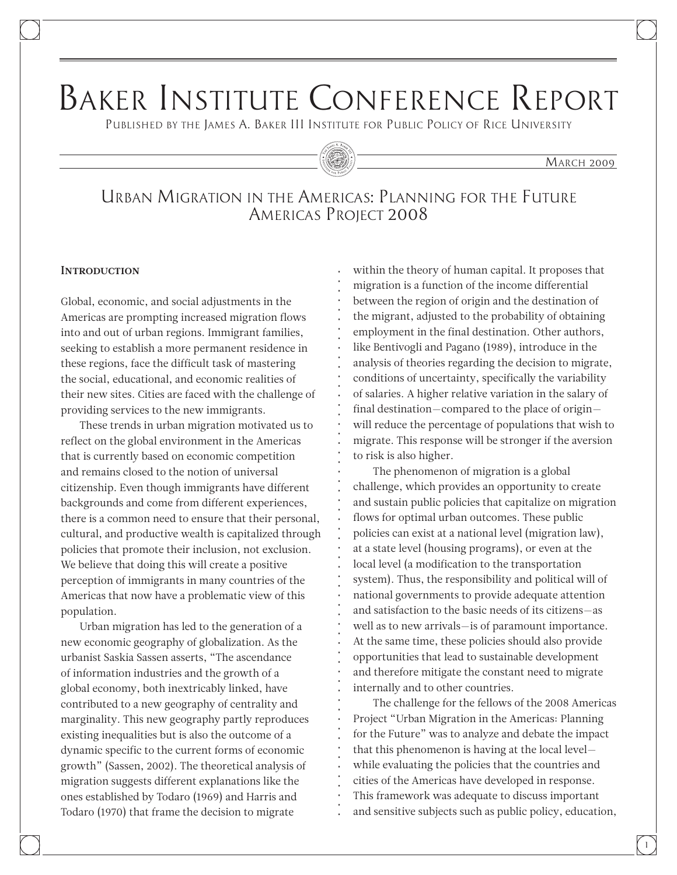# Baker Institute Conference Report

Published by the James A. Baker III Institute for Public Policy of Rice University

#### **MARCH 2009**

Urban Migration in the Americas: Planning for the Future Americas Project 2008

#### **INTRODUCTION**

Global, economic, and social adjustments in the Americas are prompting increased migration flows into and out of urban regions. Immigrant families, seeking to establish a more permanent residence in these regions, face the difficult task of mastering the social, educational, and economic realities of their new sites. Cities are faced with the challenge of providing services to the new immigrants.

These trends in urban migration motivated us to reflect on the global environment in the Americas that is currently based on economic competition and remains closed to the notion of universal citizenship. Even though immigrants have different backgrounds and come from different experiences, there is a common need to ensure that their personal, cultural, and productive wealth is capitalized through policies that promote their inclusion, not exclusion. We believe that doing this will create a positive perception of immigrants in many countries of the Americas that now have a problematic view of this population.

Urban migration has led to the generation of a new economic geography of globalization. As the urbanist Saskia Sassen asserts, "The ascendance of information industries and the growth of a global economy, both inextricably linked, have contributed to a new geography of centrality and marginality. This new geography partly reproduces existing inequalities but is also the outcome of a dynamic specific to the current forms of economic growth" (Sassen, 2002). The theoretical analysis of migration suggests different explanations like the ones established by Todaro (1969) and Harris and Todaro (1970) that frame the decision to migrate

within the theory of human capital. It proposes that migration is a function of the income differential between the region of origin and the destination of the migrant, adjusted to the probability of obtaining employment in the final destination. Other authors, like Bentivogli and Pagano (1989), introduce in the analysis of theories regarding the decision to migrate, conditions of uncertainty, specifically the variability of salaries. A higher relative variation in the salary of final destination—compared to the place of origin will reduce the percentage of populations that wish to migrate. This response will be stronger if the aversion to risk is also higher.

The phenomenon of migration is a global challenge, which provides an opportunity to create and sustain public policies that capitalize on migration flows for optimal urban outcomes. These public policies can exist at a national level (migration law), at a state level (housing programs), or even at the local level (a modification to the transportation system). Thus, the responsibility and political will of national governments to provide adequate attention and satisfaction to the basic needs of its citizens—as well as to new arrivals—is of paramount importance. At the same time, these policies should also provide opportunities that lead to sustainable development and therefore mitigate the constant need to migrate internally and to other countries.

The challenge for the fellows of the 2008 Americas Project "Urban Migration in the Americas: Planning for the Future" was to analyze and debate the impact that this phenomenon is having at the local level while evaluating the policies that the countries and cities of the Americas have developed in response. This framework was adequate to discuss important and sensitive subjects such as public policy, education,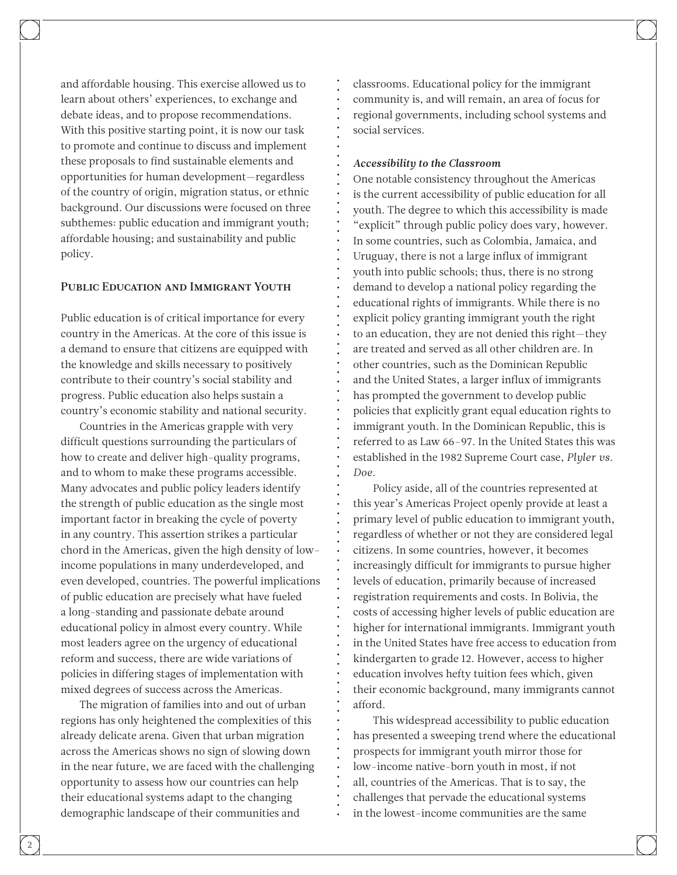and affordable housing. This exercise allowed us to learn about others' experiences, to exchange and debate ideas, and to propose recommendations. With this positive starting point, it is now our task to promote and continue to discuss and implement these proposals to find sustainable elements and opportunities for human development—regardless of the country of origin, migration status, or ethnic background. Our discussions were focused on three subthemes: public education and immigrant youth; affordable housing; and sustainability and public policy.

# Public Education and Immigrant Youth

Public education is of critical importance for every country in the Americas. At the core of this issue is a demand to ensure that citizens are equipped with the knowledge and skills necessary to positively contribute to their country's social stability and progress. Public education also helps sustain a country's economic stability and national security.

Countries in the Americas grapple with very difficult questions surrounding the particulars of how to create and deliver high-quality programs, and to whom to make these programs accessible. Many advocates and public policy leaders identify the strength of public education as the single most important factor in breaking the cycle of poverty in any country. This assertion strikes a particular chord in the Americas, given the high density of lowincome populations in many underdeveloped, and even developed, countries. The powerful implications of public education are precisely what have fueled a long-standing and passionate debate around educational policy in almost every country. While most leaders agree on the urgency of educational reform and success, there are wide variations of policies in differing stages of implementation with mixed degrees of success across the Americas.

The migration of families into and out of urban regions has only heightened the complexities of this already delicate arena. Given that urban migration across the Americas shows no sign of slowing down in the near future, we are faced with the challenging opportunity to assess how our countries can help their educational systems adapt to the changing demographic landscape of their communities and

classrooms. Educational policy for the immigrant community is, and will remain, an area of focus for regional governments, including school systems and social services.

## *Accessibility to the Classroom*

One notable consistency throughout the Americas is the current accessibility of public education for all youth. The degree to which this accessibility is made "explicit" through public policy does vary, however. In some countries, such as Colombia, Jamaica, and Uruguay, there is not a large influx of immigrant youth into public schools; thus, there is no strong demand to develop a national policy regarding the educational rights of immigrants. While there is no explicit policy granting immigrant youth the right to an education, they are not denied this right—they are treated and served as all other children are. In other countries, such as the Dominican Republic and the United States, a larger influx of immigrants has prompted the government to develop public policies that explicitly grant equal education rights to immigrant youth. In the Dominican Republic, this is referred to as Law 66–97. In the United States this was established in the 1982 Supreme Court case, *Plyler vs. Doe.*

Policy aside, all of the countries represented at this year's Americas Project openly provide at least a primary level of public education to immigrant youth, regardless of whether or not they are considered legal citizens. In some countries, however, it becomes increasingly difficult for immigrants to pursue higher levels of education, primarily because of increased registration requirements and costs. In Bolivia, the costs of accessing higher levels of public education are higher for international immigrants. Immigrant youth in the United States have free access to education from kindergarten to grade 12. However, access to higher education involves hefty tuition fees which, given their economic background, many immigrants cannot afford.

This widespread accessibility to public education has presented a sweeping trend where the educational prospects for immigrant youth mirror those for low-income native-born youth in most, if not all, countries of the Americas. That is to say, the challenges that pervade the educational systems in the lowest-income communities are the same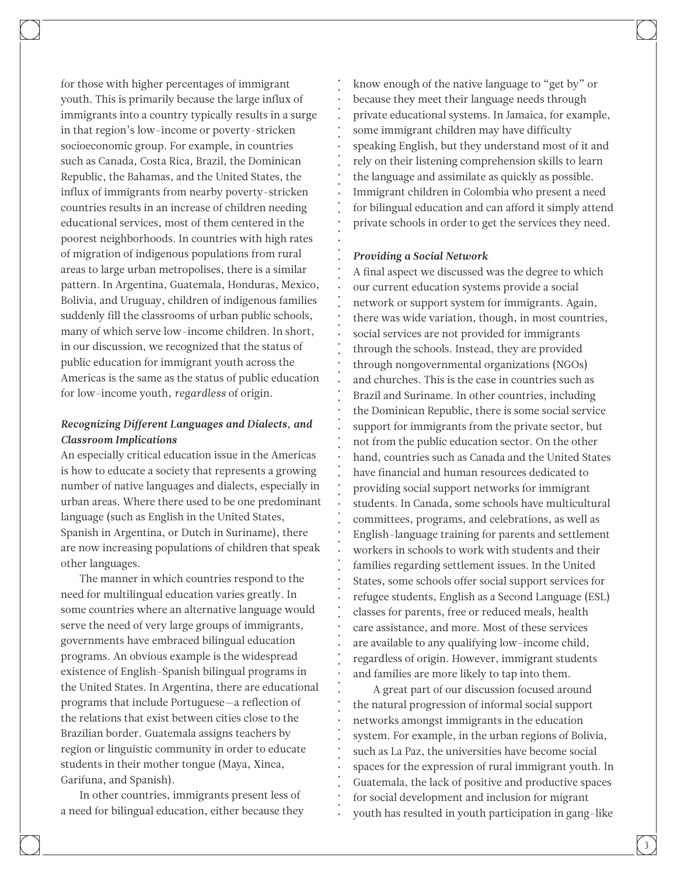for those with higher percentages of immigrant youth. This is primarily because the large influx of immigrants into a country typically results in a surge in that region's low-income or poverty-stricken socioeconomic group. For example, in countries such as Canada, Costa Rica, Brazil, the Dominican Republic, the Bahamas, and the United States, the influx of immigrants from nearby poverty-stricken countries results in an increase of children needing educational services, most of them centered in the poorest neighborhoods. In countries with high rates of migration of indigenous populations from rural areas to large urban metropolises, there is a similar pattern. In Argentina, Guatemala, Honduras, Mexico, Bolivia, and Uruguay, children of indigenous families suddenly fill the classrooms of urban public schools, many of which serve low-income children. In short, in our discussion, we recognized that the status of public education for immigrant youth across the Americas is the same as the status of public education for low-income youth, *regardless* of origin.

# *Recognizing Different Languages and Dialects, and Classroom Implications*

An especially critical education issue in the Americas is how to educate a society that represents a growing number of native languages and dialects, especially in urban areas. Where there used to be one predominant language (such as English in the United States, Spanish in Argentina, or Dutch in Suriname), there are now increasing populations of children that speak other languages.

The manner in which countries respond to the need for multilingual education varies greatly. In some countries where an alternative language would serve the need of very large groups of immigrants, governments have embraced bilingual education programs. An obvious example is the widespread existence of English-Spanish bilingual programs in the United States. In Argentina, there are educational programs that include Portuguese—a reflection of the relations that exist between cities close to the Brazilian border. Guatemala assigns teachers by region or linguistic community in order to educate students in their mother tongue (Maya, Xinca, Garifuna, and Spanish).

In other countries, immigrants present less of a need for bilingual education, either because they know enough of the native language to "get by" or because they meet their language needs through private educational systems. In Jamaica, for example, some immigrant children may have difficulty speaking English, but they understand most of it and rely on their listening comprehension skills to learn the language and assimilate as quickly as possible. Immigrant children in Colombia who present a need for bilingual education and can afford it simply attend private schools in order to get the services they need.

#### *Providing a Social Network*

A final aspect we discussed was the degree to which our current education systems provide a social network or support system for immigrants. Again, there was wide variation, though, in most countries, social services are not provided for immigrants through the schools. Instead, they are provided through nongovernmental organizations (NGOs) and churches. This is the case in countries such as Brazil and Suriname. In other countries, including the Dominican Republic, there is some social service support for immigrants from the private sector, but not from the public education sector. On the other hand, countries such as Canada and the United States have financial and human resources dedicated to providing social support networks for immigrant students. In Canada, some schools have multicultural committees, programs, and celebrations, as well as English-language training for parents and settlement workers in schools to work with students and their families regarding settlement issues. In the United States, some schools offer social support services for refugee students, English as a Second Language (ESL) classes for parents, free or reduced meals, health care assistance, and more. Most of these services are available to any qualifying low-income child, regardless of origin. However, immigrant students and families are more likely to tap into them.

A great part of our discussion focused around the natural progression of informal social support networks amongst immigrants in the education system. For example, in the urban regions of Bolivia, such as La Paz, the universities have become social spaces for the expression of rural immigrant youth. In Guatemala, the lack of positive and productive spaces for social development and inclusion for migrant youth has resulted in youth participation in gang-like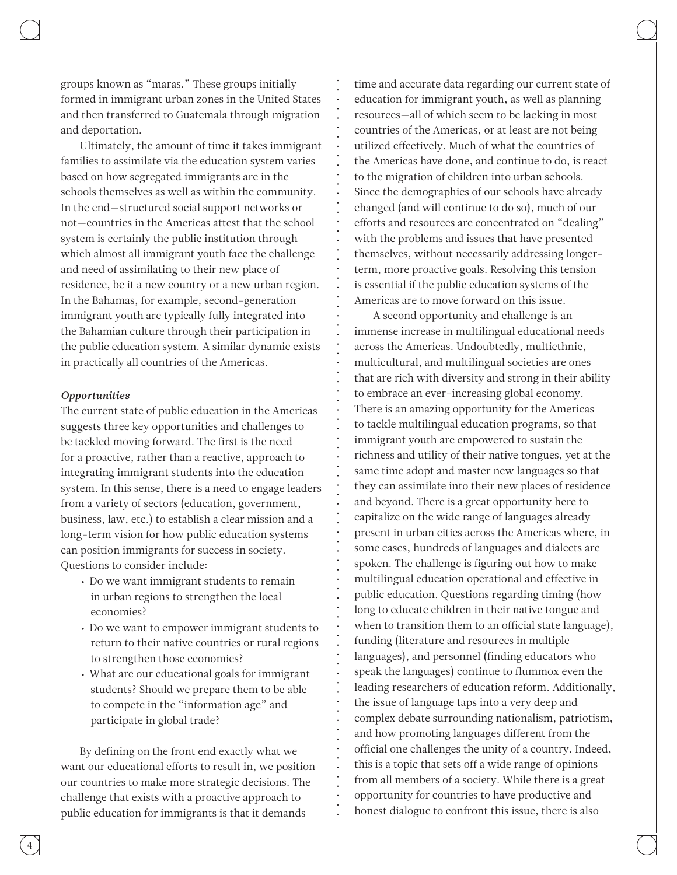groups known as "maras." These groups initially formed in immigrant urban zones in the United States and then transferred to Guatemala through migration and deportation.

Ultimately, the amount of time it takes immigrant families to assimilate via the education system varies based on how segregated immigrants are in the schools themselves as well as within the community. In the end—structured social support networks or not—countries in the Americas attest that the school system is certainly the public institution through which almost all immigrant youth face the challenge and need of assimilating to their new place of residence, be it a new country or a new urban region. In the Bahamas, for example, second-generation immigrant youth are typically fully integrated into the Bahamian culture through their participation in the public education system. A similar dynamic exists in practically all countries of the Americas.

#### *Opportunities*

The current state of public education in the Americas suggests three key opportunities and challenges to be tackled moving forward. The first is the need for a proactive, rather than a reactive, approach to integrating immigrant students into the education system. In this sense, there is a need to engage leaders from a variety of sectors (education, government, business, law, etc.) to establish a clear mission and a long-term vision for how public education systems can position immigrants for success in society. Questions to consider include:

- Do we want immigrant students to remain in urban regions to strengthen the local economies?
- • Do we want to empower immigrant students to return to their native countries or rural regions to strengthen those economies?
- • What are our educational goals for immigrant students? Should we prepare them to be able to compete in the "information age" and participate in global trade?

By defining on the front end exactly what we want our educational efforts to result in, we position our countries to make more strategic decisions. The challenge that exists with a proactive approach to public education for immigrants is that it demands

time and accurate data regarding our current state of education for immigrant youth, as well as planning resources—all of which seem to be lacking in most countries of the Americas, or at least are not being utilized effectively. Much of what the countries of the Americas have done, and continue to do, is react to the migration of children into urban schools. Since the demographics of our schools have already changed (and will continue to do so), much of our efforts and resources are concentrated on "dealing" with the problems and issues that have presented themselves, without necessarily addressing longerterm, more proactive goals. Resolving this tension is essential if the public education systems of the Americas are to move forward on this issue.

A second opportunity and challenge is an immense increase in multilingual educational needs across the Americas. Undoubtedly, multiethnic, multicultural, and multilingual societies are ones that are rich with diversity and strong in their ability to embrace an ever-increasing global economy. There is an amazing opportunity for the Americas to tackle multilingual education programs, so that immigrant youth are empowered to sustain the richness and utility of their native tongues, yet at the same time adopt and master new languages so that they can assimilate into their new places of residence and beyond. There is a great opportunity here to capitalize on the wide range of languages already present in urban cities across the Americas where, in some cases, hundreds of languages and dialects are spoken. The challenge is figuring out how to make multilingual education operational and effective in public education. Questions regarding timing (how long to educate children in their native tongue and when to transition them to an official state language), funding (literature and resources in multiple languages), and personnel (finding educators who speak the languages) continue to flummox even the leading researchers of education reform. Additionally, the issue of language taps into a very deep and complex debate surrounding nationalism, patriotism, and how promoting languages different from the official one challenges the unity of a country. Indeed, this is a topic that sets off a wide range of opinions from all members of a society. While there is a great opportunity for countries to have productive and honest dialogue to confront this issue, there is also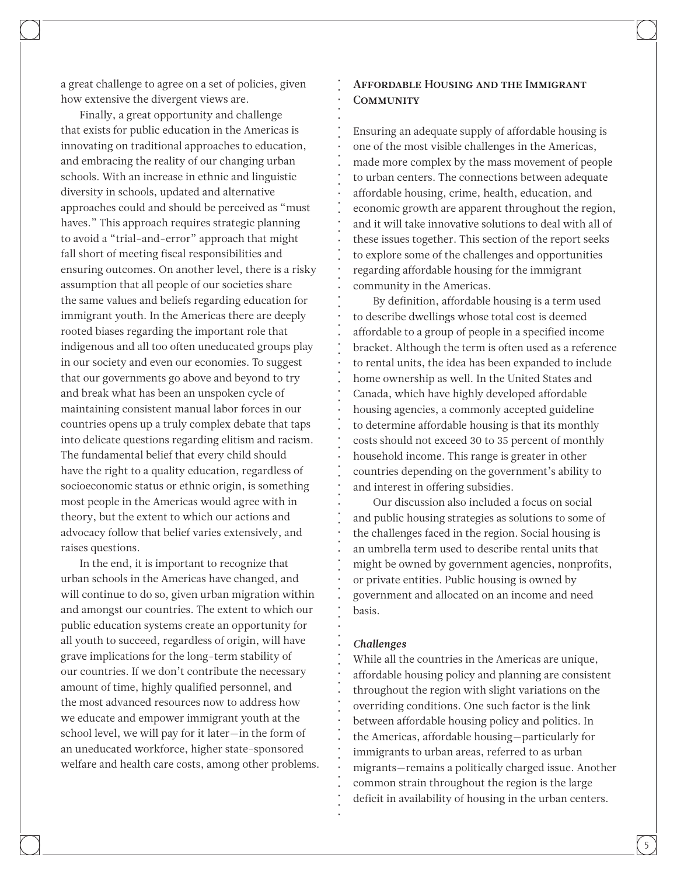a great challenge to agree on a set of policies, given how extensive the divergent views are.

Finally, a great opportunity and challenge that exists for public education in the Americas is innovating on traditional approaches to education, and embracing the reality of our changing urban schools. With an increase in ethnic and linguistic diversity in schools, updated and alternative approaches could and should be perceived as "must haves." This approach requires strategic planning to avoid a "trial-and-error" approach that might fall short of meeting fiscal responsibilities and ensuring outcomes. On another level, there is a risky assumption that all people of our societies share the same values and beliefs regarding education for immigrant youth. In the Americas there are deeply rooted biases regarding the important role that indigenous and all too often uneducated groups play in our society and even our economies. To suggest that our governments go above and beyond to try and break what has been an unspoken cycle of maintaining consistent manual labor forces in our countries opens up a truly complex debate that taps into delicate questions regarding elitism and racism. The fundamental belief that every child should have the right to a quality education, regardless of socioeconomic status or ethnic origin, is something most people in the Americas would agree with in theory, but the extent to which our actions and advocacy follow that belief varies extensively, and raises questions.

In the end, it is important to recognize that urban schools in the Americas have changed, and will continue to do so, given urban migration within and amongst our countries. The extent to which our public education systems create an opportunity for all youth to succeed, regardless of origin, will have grave implications for the long-term stability of our countries. If we don't contribute the necessary amount of time, highly qualified personnel, and the most advanced resources now to address how we educate and empower immigrant youth at the school level, we will pay for it later—in the form of an uneducated workforce, higher state-sponsored welfare and health care costs, among other problems.

# Affordable Housing and the Immigrant **COMMUNITY**

Ensuring an adequate supply of affordable housing is one of the most visible challenges in the Americas, made more complex by the mass movement of people to urban centers. The connections between adequate affordable housing, crime, health, education, and economic growth are apparent throughout the region, and it will take innovative solutions to deal with all of these issues together. This section of the report seeks to explore some of the challenges and opportunities regarding affordable housing for the immigrant community in the Americas.

By definition, affordable housing is a term used to describe dwellings whose total cost is deemed affordable to a group of people in a specified income bracket. Although the term is often used as a reference to rental units, the idea has been expanded to include home ownership as well. In the United States and Canada, which have highly developed affordable housing agencies, a commonly accepted guideline to determine affordable housing is that its monthly costs should not exceed 30 to 35 percent of monthly household income. This range is greater in other countries depending on the government's ability to and interest in offering subsidies.

Our discussion also included a focus on social and public housing strategies as solutions to some of the challenges faced in the region. Social housing is an umbrella term used to describe rental units that might be owned by government agencies, nonprofits, or private entities. Public housing is owned by government and allocated on an income and need basis.

#### *Challenges*

While all the countries in the Americas are unique, affordable housing policy and planning are consistent throughout the region with slight variations on the overriding conditions. One such factor is the link between affordable housing policy and politics. In the Americas, affordable housing—particularly for immigrants to urban areas, referred to as urban migrants—remains a politically charged issue. Another common strain throughout the region is the large deficit in availability of housing in the urban centers.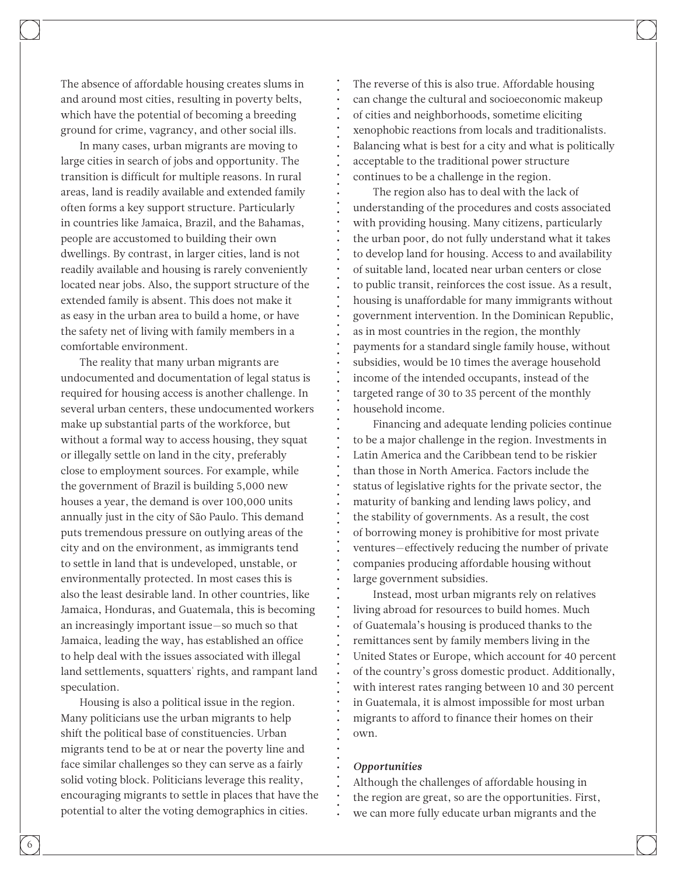The absence of affordable housing creates slums in and around most cities, resulting in poverty belts, which have the potential of becoming a breeding ground for crime, vagrancy, and other social ills.

In many cases, urban migrants are moving to large cities in search of jobs and opportunity. The transition is difficult for multiple reasons. In rural areas, land is readily available and extended family often forms a key support structure. Particularly in countries like Jamaica, Brazil, and the Bahamas, people are accustomed to building their own dwellings. By contrast, in larger cities, land is not readily available and housing is rarely conveniently located near jobs. Also, the support structure of the extended family is absent. This does not make it as easy in the urban area to build a home, or have the safety net of living with family members in a comfortable environment.

The reality that many urban migrants are undocumented and documentation of legal status is required for housing access is another challenge. In several urban centers, these undocumented workers make up substantial parts of the workforce, but without a formal way to access housing, they squat or illegally settle on land in the city, preferably close to employment sources. For example, while the government of Brazil is building 5,000 new houses a year, the demand is over 100,000 units annually just in the city of São Paulo. This demand puts tremendous pressure on outlying areas of the city and on the environment, as immigrants tend to settle in land that is undeveloped, unstable, or environmentally protected. In most cases this is also the least desirable land. In other countries, like Jamaica, Honduras, and Guatemala, this is becoming an increasingly important issue—so much so that Jamaica, leading the way, has established an office to help deal with the issues associated with illegal land settlements, squatters' rights, and rampant land speculation.

Housing is also a political issue in the region. Many politicians use the urban migrants to help shift the political base of constituencies. Urban migrants tend to be at or near the poverty line and face similar challenges so they can serve as a fairly solid voting block. Politicians leverage this reality, encouraging migrants to settle in places that have the potential to alter the voting demographics in cities.

The reverse of this is also true. Affordable housing can change the cultural and socioeconomic makeup of cities and neighborhoods, sometime eliciting xenophobic reactions from locals and traditionalists. Balancing what is best for a city and what is politically acceptable to the traditional power structure continues to be a challenge in the region.

The region also has to deal with the lack of understanding of the procedures and costs associated with providing housing. Many citizens, particularly the urban poor, do not fully understand what it takes to develop land for housing. Access to and availability of suitable land, located near urban centers or close to public transit, reinforces the cost issue. As a result, housing is unaffordable for many immigrants without government intervention. In the Dominican Republic, as in most countries in the region, the monthly payments for a standard single family house, without subsidies, would be 10 times the average household income of the intended occupants, instead of the targeted range of 30 to 35 percent of the monthly household income.

Financing and adequate lending policies continue to be a major challenge in the region. Investments in Latin America and the Caribbean tend to be riskier than those in North America. Factors include the status of legislative rights for the private sector, the maturity of banking and lending laws policy, and the stability of governments. As a result, the cost of borrowing money is prohibitive for most private ventures—effectively reducing the number of private companies producing affordable housing without large government subsidies.

Instead, most urban migrants rely on relatives living abroad for resources to build homes. Much of Guatemala's housing is produced thanks to the remittances sent by family members living in the United States or Europe, which account for 40 percent of the country's gross domestic product. Additionally, with interest rates ranging between 10 and 30 percent in Guatemala, it is almost impossible for most urban migrants to afford to finance their homes on their own.

#### *Opportunities*

Although the challenges of affordable housing in the region are great, so are the opportunities. First, we can more fully educate urban migrants and the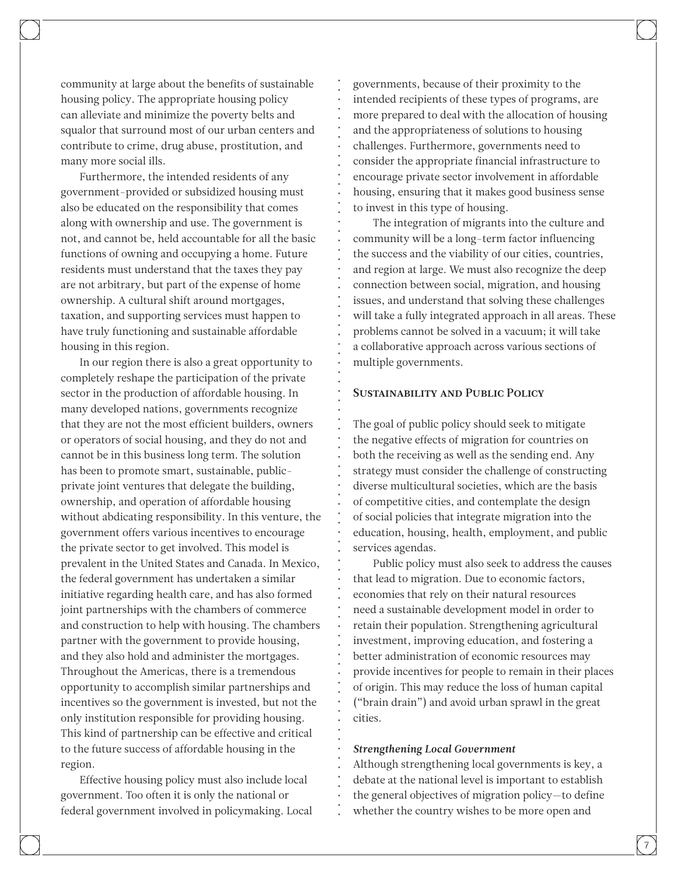community at large about the benefits of sustainable housing policy. The appropriate housing policy can alleviate and minimize the poverty belts and squalor that surround most of our urban centers and contribute to crime, drug abuse, prostitution, and many more social ills.

Furthermore, the intended residents of any government-provided or subsidized housing must also be educated on the responsibility that comes along with ownership and use. The government is not, and cannot be, held accountable for all the basic functions of owning and occupying a home. Future residents must understand that the taxes they pay are not arbitrary, but part of the expense of home ownership. A cultural shift around mortgages, taxation, and supporting services must happen to have truly functioning and sustainable affordable housing in this region.

In our region there is also a great opportunity to completely reshape the participation of the private sector in the production of affordable housing. In many developed nations, governments recognize that they are not the most efficient builders, owners or operators of social housing, and they do not and cannot be in this business long term. The solution has been to promote smart, sustainable, publicprivate joint ventures that delegate the building, ownership, and operation of affordable housing without abdicating responsibility. In this venture, the government offers various incentives to encourage the private sector to get involved. This model is prevalent in the United States and Canada. In Mexico, the federal government has undertaken a similar initiative regarding health care, and has also formed joint partnerships with the chambers of commerce and construction to help with housing. The chambers partner with the government to provide housing, and they also hold and administer the mortgages. Throughout the Americas, there is a tremendous opportunity to accomplish similar partnerships and incentives so the government is invested, but not the only institution responsible for providing housing. This kind of partnership can be effective and critical to the future success of affordable housing in the region.

Effective housing policy must also include local government. Too often it is only the national or federal government involved in policymaking. Local governments, because of their proximity to the intended recipients of these types of programs, are more prepared to deal with the allocation of housing and the appropriateness of solutions to housing challenges. Furthermore, governments need to consider the appropriate financial infrastructure to encourage private sector involvement in affordable housing, ensuring that it makes good business sense to invest in this type of housing.

The integration of migrants into the culture and community will be a long-term factor influencing the success and the viability of our cities, countries, and region at large. We must also recognize the deep connection between social, migration, and housing issues, and understand that solving these challenges will take a fully integrated approach in all areas. These problems cannot be solved in a vacuum; it will take a collaborative approach across various sections of multiple governments.

#### Sustainability and Public Policy

The goal of public policy should seek to mitigate the negative effects of migration for countries on both the receiving as well as the sending end. Any strategy must consider the challenge of constructing diverse multicultural societies, which are the basis of competitive cities, and contemplate the design of social policies that integrate migration into the education, housing, health, employment, and public services agendas.

Public policy must also seek to address the causes that lead to migration. Due to economic factors, economies that rely on their natural resources need a sustainable development model in order to retain their population. Strengthening agricultural investment, improving education, and fostering a better administration of economic resources may provide incentives for people to remain in their places of origin. This may reduce the loss of human capital ("brain drain") and avoid urban sprawl in the great cities.

#### *Strengthening Local Government*

Although strengthening local governments is key, a debate at the national level is important to establish the general objectives of migration policy—to define whether the country wishes to be more open and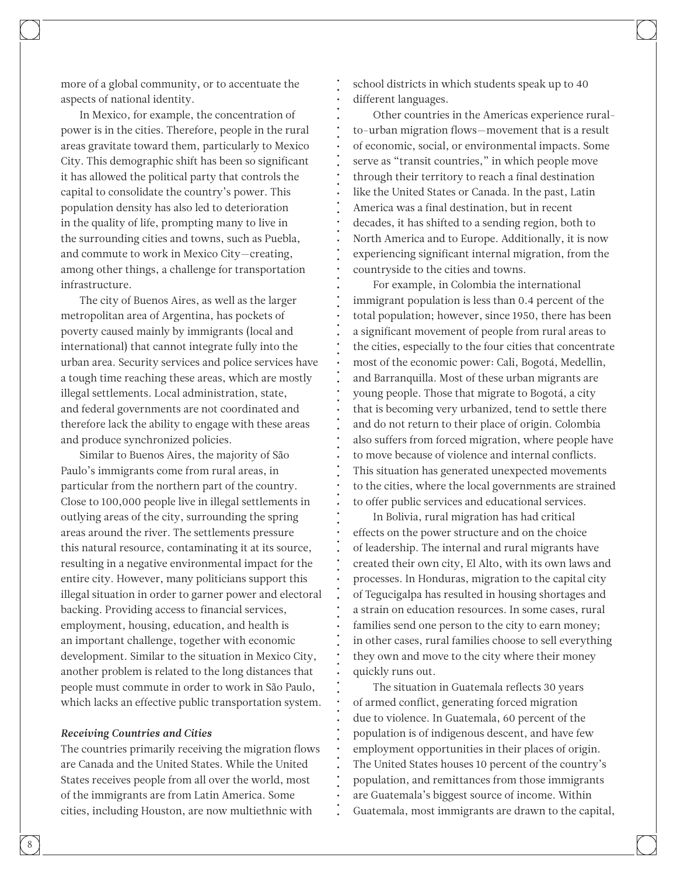more of a global community, or to accentuate the aspects of national identity.

In Mexico, for example, the concentration of power is in the cities. Therefore, people in the rural areas gravitate toward them, particularly to Mexico City. This demographic shift has been so significant it has allowed the political party that controls the capital to consolidate the country's power. This population density has also led to deterioration in the quality of life, prompting many to live in the surrounding cities and towns, such as Puebla, and commute to work in Mexico City—creating, among other things, a challenge for transportation infrastructure.

The city of Buenos Aires, as well as the larger metropolitan area of Argentina, has pockets of poverty caused mainly by immigrants (local and international) that cannot integrate fully into the urban area. Security services and police services have a tough time reaching these areas, which are mostly illegal settlements. Local administration, state, and federal governments are not coordinated and therefore lack the ability to engage with these areas and produce synchronized policies.

Similar to Buenos Aires, the majority of São Paulo's immigrants come from rural areas, in particular from the northern part of the country. Close to 100,000 people live in illegal settlements in outlying areas of the city, surrounding the spring areas around the river. The settlements pressure this natural resource, contaminating it at its source, resulting in a negative environmental impact for the entire city. However, many politicians support this illegal situation in order to garner power and electoral backing. Providing access to financial services, employment, housing, education, and health is an important challenge, together with economic development. Similar to the situation in Mexico City, another problem is related to the long distances that people must commute in order to work in São Paulo, which lacks an effective public transportation system.

#### *Receiving Countries and Cities*

The countries primarily receiving the migration flows are Canada and the United States. While the United States receives people from all over the world, most of the immigrants are from Latin America. Some cities, including Houston, are now multiethnic with

school districts in which students speak up to 40 different languages.

Other countries in the Americas experience ruralto-urban migration flows-movement that is a result of economic, social, or environmental impacts. Some serve as "transit countries," in which people move through their territory to reach a final destination like the United States or Canada. In the past, Latin America was a final destination, but in recent decades, it has shifted to a sending region, both to North America and to Europe. Additionally, it is now experiencing significant internal migration, from the countryside to the cities and towns.

For example, in Colombia the international immigrant population is less than 0.4 percent of the total population; however, since 1950, there has been a significant movement of people from rural areas to the cities, especially to the four cities that concentrate most of the economic power: Cali, Bogotá, Medellin, and Barranquilla. Most of these urban migrants are young people. Those that migrate to Bogotá, a city that is becoming very urbanized, tend to settle there and do not return to their place of origin. Colombia also suffers from forced migration, where people have to move because of violence and internal conflicts. This situation has generated unexpected movements to the cities, where the local governments are strained to offer public services and educational services.

In Bolivia, rural migration has had critical effects on the power structure and on the choice of leadership. The internal and rural migrants have created their own city, El Alto, with its own laws and processes. In Honduras, migration to the capital city of Tegucigalpa has resulted in housing shortages and a strain on education resources. In some cases, rural families send one person to the city to earn money; in other cases, rural families choose to sell everything they own and move to the city where their money quickly runs out.

The situation in Guatemala reflects 30 years of armed conflict, generating forced migration due to violence. In Guatemala, 60 percent of the population is of indigenous descent, and have few employment opportunities in their places of origin. The United States houses 10 percent of the country's population, and remittances from those immigrants are Guatemala's biggest source of income. Within Guatemala, most immigrants are drawn to the capital,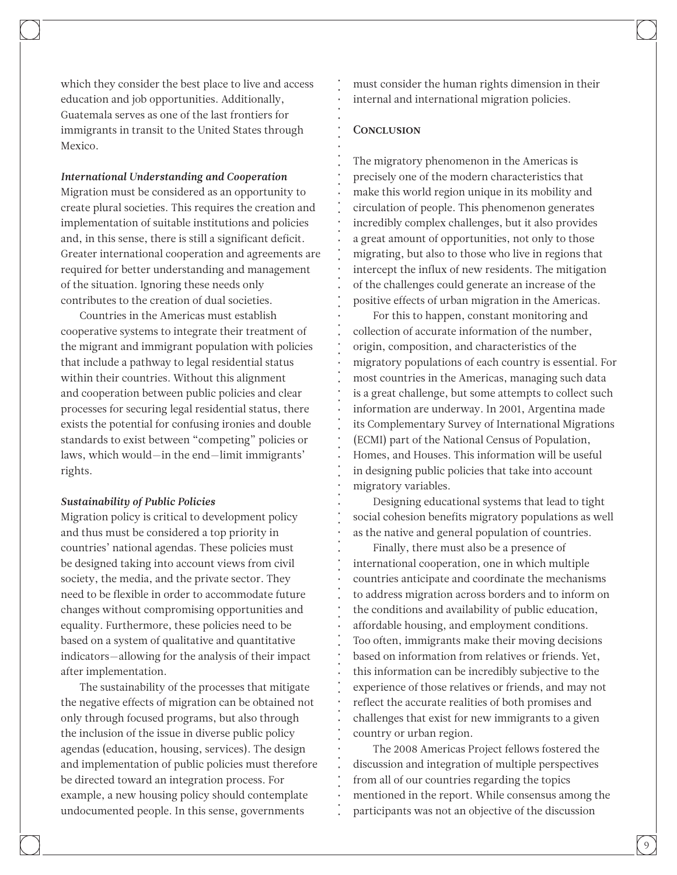which they consider the best place to live and access education and job opportunities. Additionally, Guatemala serves as one of the last frontiers for immigrants in transit to the United States through Mexico.

*International Understanding and Cooperation*

Migration must be considered as an opportunity to create plural societies. This requires the creation and implementation of suitable institutions and policies and, in this sense, there is still a significant deficit. Greater international cooperation and agreements are required for better understanding and management of the situation. Ignoring these needs only contributes to the creation of dual societies.

Countries in the Americas must establish cooperative systems to integrate their treatment of the migrant and immigrant population with policies that include a pathway to legal residential status within their countries. Without this alignment and cooperation between public policies and clear processes for securing legal residential status, there exists the potential for confusing ironies and double standards to exist between "competing" policies or laws, which would—in the end—limit immigrants' rights.

#### *Sustainability of Public Policies*

Migration policy is critical to development policy and thus must be considered a top priority in countries' national agendas. These policies must be designed taking into account views from civil society, the media, and the private sector. They need to be flexible in order to accommodate future changes without compromising opportunities and equality. Furthermore, these policies need to be based on a system of qualitative and quantitative indicators—allowing for the analysis of their impact after implementation.

The sustainability of the processes that mitigate the negative effects of migration can be obtained not only through focused programs, but also through the inclusion of the issue in diverse public policy agendas (education, housing, services). The design and implementation of public policies must therefore be directed toward an integration process. For example, a new housing policy should contemplate undocumented people. In this sense, governments

must consider the human rights dimension in their internal and international migration policies.

## **CONCLUSION**

The migratory phenomenon in the Americas is precisely one of the modern characteristics that make this world region unique in its mobility and circulation of people. This phenomenon generates incredibly complex challenges, but it also provides a great amount of opportunities, not only to those migrating, but also to those who live in regions that intercept the influx of new residents. The mitigation of the challenges could generate an increase of the positive effects of urban migration in the Americas.

For this to happen, constant monitoring and collection of accurate information of the number, origin, composition, and characteristics of the migratory populations of each country is essential. For most countries in the Americas, managing such data is a great challenge, but some attempts to collect such information are underway. In 2001, Argentina made its Complementary Survey of International Migrations (ECMI) part of the National Census of Population, Homes, and Houses. This information will be useful in designing public policies that take into account migratory variables.

Designing educational systems that lead to tight social cohesion benefits migratory populations as well as the native and general population of countries.

Finally, there must also be a presence of international cooperation, one in which multiple countries anticipate and coordinate the mechanisms to address migration across borders and to inform on the conditions and availability of public education, affordable housing, and employment conditions. Too often, immigrants make their moving decisions based on information from relatives or friends. Yet, this information can be incredibly subjective to the experience of those relatives or friends, and may not reflect the accurate realities of both promises and challenges that exist for new immigrants to a given country or urban region.

The 2008 Americas Project fellows fostered the discussion and integration of multiple perspectives from all of our countries regarding the topics mentioned in the report. While consensus among the participants was not an objective of the discussion